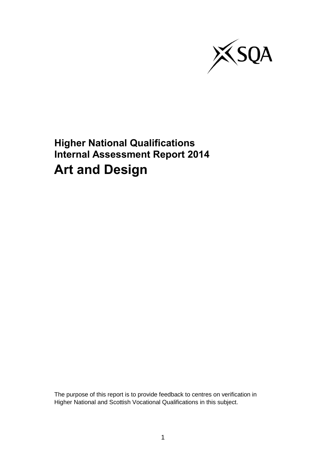

**Higher National Qualifications Internal Assessment Report 2014 Art and Design**

The purpose of this report is to provide feedback to centres on verification in Higher National and Scottish Vocational Qualifications in this subject.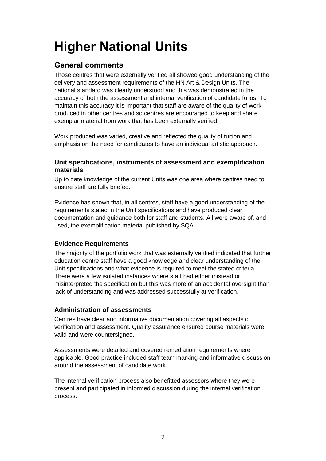# **Higher National Units**

## **General comments**

Those centres that were externally verified all showed good understanding of the delivery and assessment requirements of the HN Art & Design Units. The national standard was clearly understood and this was demonstrated in the accuracy of both the assessment and internal verification of candidate folios. To maintain this accuracy it is important that staff are aware of the quality of work produced in other centres and so centres are encouraged to keep and share exemplar material from work that has been externally verified.

Work produced was varied, creative and reflected the quality of tuition and emphasis on the need for candidates to have an individual artistic approach.

### **Unit specifications, instruments of assessment and exemplification materials**

Up to date knowledge of the current Units was one area where centres need to ensure staff are fully briefed.

Evidence has shown that, in all centres, staff have a good understanding of the requirements stated in the Unit specifications and have produced clear documentation and guidance both for staff and students. All were aware of, and used, the exemplification material published by SQA.

### **Evidence Requirements**

The majority of the portfolio work that was externally verified indicated that further education centre staff have a good knowledge and clear understanding of the Unit specifications and what evidence is required to meet the stated criteria. There were a few isolated instances where staff had either misread or misinterpreted the specification but this was more of an accidental oversight than lack of understanding and was addressed successfully at verification.

### **Administration of assessments**

Centres have clear and informative documentation covering all aspects of verification and assessment. Quality assurance ensured course materials were valid and were countersigned.

Assessments were detailed and covered remediation requirements where applicable. Good practice included staff team marking and informative discussion around the assessment of candidate work.

The internal verification process also benefitted assessors where they were present and participated in informed discussion during the internal verification process.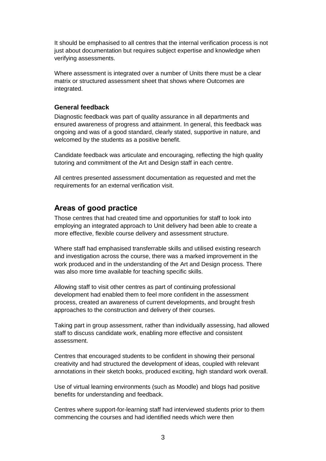It should be emphasised to all centres that the internal verification process is not just about documentation but requires subject expertise and knowledge when verifying assessments.

Where assessment is integrated over a number of Units there must be a clear matrix or structured assessment sheet that shows where Outcomes are integrated.

### **General feedback**

Diagnostic feedback was part of quality assurance in all departments and ensured awareness of progress and attainment. In general, this feedback was ongoing and was of a good standard, clearly stated, supportive in nature, and welcomed by the students as a positive benefit.

Candidate feedback was articulate and encouraging, reflecting the high quality tutoring and commitment of the Art and Design staff in each centre.

All centres presented assessment documentation as requested and met the requirements for an external verification visit.

## **Areas of good practice**

Those centres that had created time and opportunities for staff to look into employing an integrated approach to Unit delivery had been able to create a more effective, flexible course delivery and assessment structure.

Where staff had emphasised transferrable skills and utilised existing research and investigation across the course, there was a marked improvement in the work produced and in the understanding of the Art and Design process. There was also more time available for teaching specific skills.

Allowing staff to visit other centres as part of continuing professional development had enabled them to feel more confident in the assessment process, created an awareness of current developments, and brought fresh approaches to the construction and delivery of their courses.

Taking part in group assessment, rather than individually assessing, had allowed staff to discuss candidate work, enabling more effective and consistent assessment.

Centres that encouraged students to be confident in showing their personal creativity and had structured the development of ideas, coupled with relevant annotations in their sketch books, produced exciting, high standard work overall.

Use of virtual learning environments (such as Moodle) and blogs had positive benefits for understanding and feedback.

Centres where support-for-learning staff had interviewed students prior to them commencing the courses and had identified needs which were then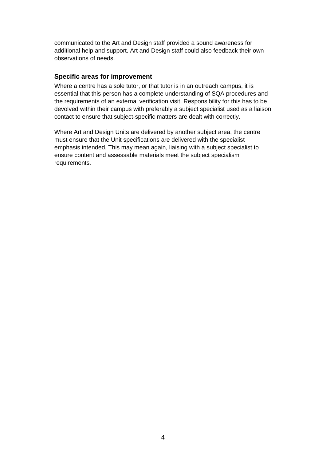communicated to the Art and Design staff provided a sound awareness for additional help and support. Art and Design staff could also feedback their own observations of needs.

### **Specific areas for improvement**

Where a centre has a sole tutor, or that tutor is in an outreach campus, it is essential that this person has a complete understanding of SQA procedures and the requirements of an external verification visit. Responsibility for this has to be devolved within their campus with preferably a subject specialist used as a liaison contact to ensure that subject-specific matters are dealt with correctly.

Where Art and Design Units are delivered by another subject area, the centre must ensure that the Unit specifications are delivered with the specialist emphasis intended. This may mean again, liaising with a subject specialist to ensure content and assessable materials meet the subject specialism requirements.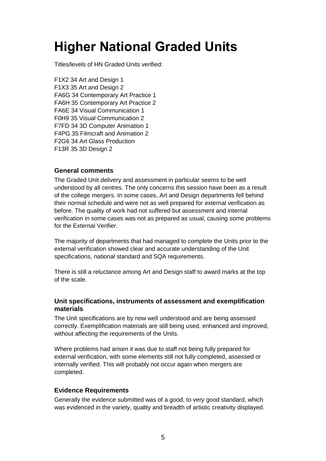## **Higher National Graded Units**

Titles/levels of HN Graded Units verified:

F1X2 34 Art and Design 1 F1X3 35 Art and Design 2 FA6G 34 Contemporary Art Practice 1 FA6H 35 Contemporary Art Practice 2 FA6E 34 Visual Communication 1 F0H9 35 Visual Communication 2 F7FD 34 3D Computer Animation 1 F4PG 35 Filmcraft and Animation 2 F2G6 34 Art Glass Production F13R 35 3D Design 2

### **General comments**

The Graded Unit delivery and assessment in particular seems to be well understood by all centres. The only concerns this session have been as a result of the college mergers. In some cases, Art and Design departments fell behind their normal schedule and were not as well prepared for external verification as before. The quality of work had not suffered but assessment and internal verification in some cases was not as prepared as usual, causing some problems for the External Verifier.

The majority of departments that had managed to complete the Units prior to the external verification showed clear and accurate understanding of the Unit specifications, national standard and SQA requirements.

There is still a reluctance among Art and Design staff to award marks at the top of the scale.

### **Unit specifications, instruments of assessment and exemplification materials**

The Unit specifications are by now well understood and are being assessed correctly. Exemplification materials are still being used, enhanced and improved, without affecting the requirements of the Units.

Where problems had arisen it was due to staff not being fully prepared for external verification, with some elements still not fully completed, assessed or internally verified. This will probably not occur again when mergers are completed.

### **Evidence Requirements**

Generally the evidence submitted was of a good, to very good standard, which was evidenced in the variety, quality and breadth of artistic creativity displayed.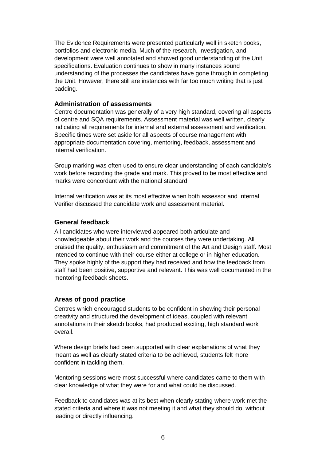The Evidence Requirements were presented particularly well in sketch books, portfolios and electronic media. Much of the research, investigation, and development were well annotated and showed good understanding of the Unit specifications. Evaluation continues to show in many instances sound understanding of the processes the candidates have gone through in completing the Unit. However, there still are instances with far too much writing that is just padding.

### **Administration of assessments**

Centre documentation was generally of a very high standard, covering all aspects of centre and SQA requirements. Assessment material was well written, clearly indicating all requirements for internal and external assessment and verification. Specific times were set aside for all aspects of course management with appropriate documentation covering, mentoring, feedback, assessment and internal verification.

Group marking was often used to ensure clear understanding of each candidate's work before recording the grade and mark. This proved to be most effective and marks were concordant with the national standard.

Internal verification was at its most effective when both assessor and Internal Verifier discussed the candidate work and assessment material.

### **General feedback**

All candidates who were interviewed appeared both articulate and knowledgeable about their work and the courses they were undertaking. All praised the quality, enthusiasm and commitment of the Art and Design staff. Most intended to continue with their course either at college or in higher education. They spoke highly of the support they had received and how the feedback from staff had been positive, supportive and relevant. This was well documented in the mentoring feedback sheets.

### **Areas of good practice**

Centres which encouraged students to be confident in showing their personal creativity and structured the development of ideas, coupled with relevant annotations in their sketch books, had produced exciting, high standard work overall.

Where design briefs had been supported with clear explanations of what they meant as well as clearly stated criteria to be achieved, students felt more confident in tackling them.

Mentoring sessions were most successful where candidates came to them with clear knowledge of what they were for and what could be discussed.

Feedback to candidates was at its best when clearly stating where work met the stated criteria and where it was not meeting it and what they should do, without leading or directly influencing.